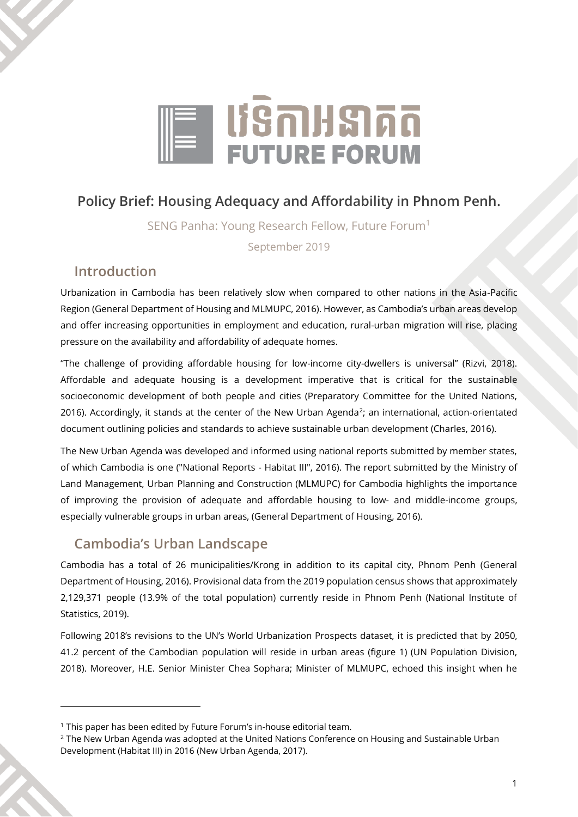

# **Policy Brief: Housing Adequacy and Affordability in Phnom Penh.**

SENG Panha: Young Research Fellow, Future Forum<sup>1</sup>

September 2019

### **Introduction**

Urbanization in Cambodia has been relatively slow when compared to other nations in the Asia-Pacific Region (General Department of Housing and MLMUPC, 2016). However, as Cambodia's urban areas develop and offer increasing opportunities in employment and education, rural-urban migration will rise, placing pressure on the availability and affordability of adequate homes.

"The challenge of providing affordable housing for low-income city-dwellers is universal" (Rizvi, 2018). Affordable and adequate housing is a development imperative that is critical for the sustainable socioeconomic development of both people and cities (Preparatory Committee for the United Nations, 2016). Accordingly, it stands at the center of the New Urban Agenda<sup>2</sup>; an international, action-orientated document outlining policies and standards to achieve sustainable urban development (Charles, 2016).

The New Urban Agenda was developed and informed using national reports submitted by member states, of which Cambodia is one ("National Reports - Habitat III", 2016). The report submitted by the Ministry of Land Management, Urban Planning and Construction (MLMUPC) for Cambodia highlights the importance of improving the provision of adequate and affordable housing to low- and middle-income groups, especially vulnerable groups in urban areas, (General Department of Housing, 2016).

## **Cambodia's Urban Landscape**

Cambodia has a total of 26 municipalities/Krong in addition to its capital city, Phnom Penh (General Department of Housing, 2016). Provisional data from the 2019 population census shows that approximately 2,129,371 people (13.9% of the total population) currently reside in Phnom Penh (National Institute of Statistics, 2019).

Following 2018's revisions to the UN's World Urbanization Prospects dataset, it is predicted that by 2050, 41.2 percent of the Cambodian population will reside in urban areas (figure 1) (UN Population Division, 2018). Moreover, H.E. Senior Minister Chea Sophara; Minister of MLMUPC, echoed this insight when he

<sup>&</sup>lt;sup>1</sup> This paper has been edited by Future Forum's in-house editorial team.

<sup>2</sup> The New Urban Agenda was adopted at the United Nations Conference on Housing and Sustainable Urban Development (Habitat III) in 2016 (New Urban Agenda, 2017).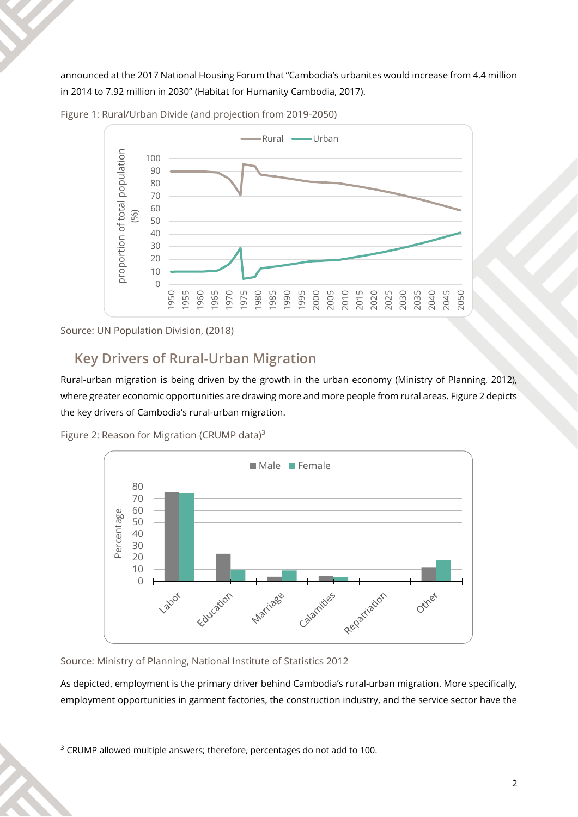announced at the 2017 National Housing Forum that "Cambodia's urbanites would increase from 4.4 million in 2014 to 7.92 million in 2030" (Habitat for Humanity Cambodia, 2017).



Figure 1: Rural/Urban Divide (and projection from 2019-2050)

Source: UN Population Division, (2018)

## **Key Drivers of Rural-Urban Migration**

Rural-urban migration is being driven by the growth in the urban economy (Ministry of Planning, 2012), where greater economic opportunities are drawing more and more people from rural areas. Figure 2 depicts the key drivers of Cambodia's rural-urban migration.





Source: Ministry of Planning, National Institute of Statistics 2012

As depicted, employment is the primary driver behind Cambodia's rural-urban migration. More specifically, employment opportunities in garment factories, the construction industry, and the service sector have the

<sup>&</sup>lt;sup>3</sup> CRUMP allowed multiple answers; therefore, percentages do not add to 100.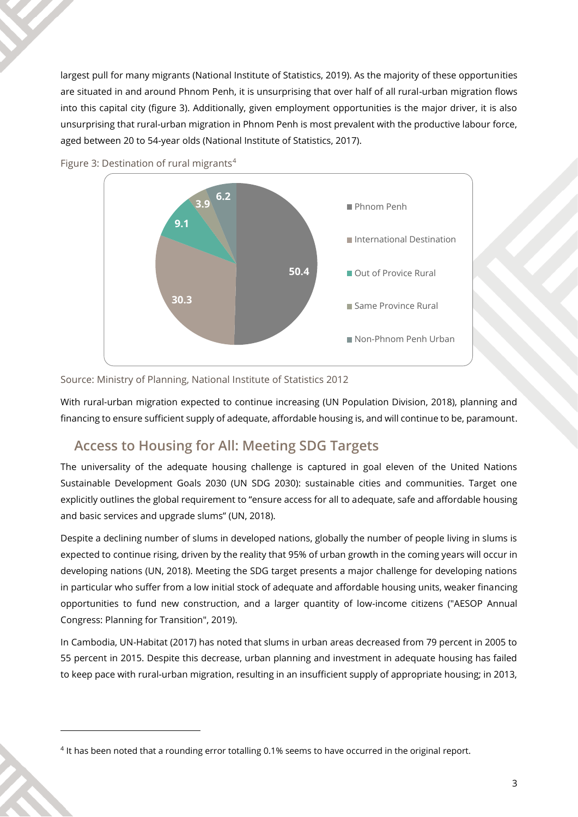largest pull for many migrants (National Institute of Statistics, 2019). As the majority of these opportunities are situated in and around Phnom Penh, it is unsurprising that over half of all rural-urban migration flows into this capital city (figure 3). Additionally, given employment opportunities is the major driver, it is also unsurprising that rural-urban migration in Phnom Penh is most prevalent with the productive labour force, aged between 20 to 54-year olds (National Institute of Statistics, 2017).



Figure 3: Destination of rural migrants<sup>4</sup>

Source: Ministry of Planning, National Institute of Statistics 2012

With rural-urban migration expected to continue increasing (UN Population Division, 2018), planning and financing to ensure sufficient supply of adequate, affordable housing is, and will continue to be, paramount.

#### **Access to Housing for All: Meeting SDG Targets**

The universality of the adequate housing challenge is captured in goal eleven of the United Nations Sustainable Development Goals 2030 (UN SDG 2030): sustainable cities and communities. Target one explicitly outlines the global requirement to "ensure access for all to adequate, safe and affordable housing and basic services and upgrade slums" (UN, 2018).

Despite a declining number of slums in developed nations, globally the number of people living in slums is expected to continue rising, driven by the reality that 95% of urban growth in the coming years will occur in developing nations (UN, 2018). Meeting the SDG target presents a major challenge for developing nations in particular who suffer from a low initial stock of adequate and affordable housing units, weaker financing opportunities to fund new construction, and a larger quantity of low-income citizens ("AESOP Annual Congress: Planning for Transition", 2019).

In Cambodia, UN-Habitat (2017) has noted that slums in urban areas decreased from 79 percent in 2005 to 55 percent in 2015. Despite this decrease, urban planning and investment in adequate housing has failed to keep pace with rural-urban migration, resulting in an insufficient supply of appropriate housing; in 2013,

<sup>4</sup> It has been noted that a rounding error totalling 0.1% seems to have occurred in the original report.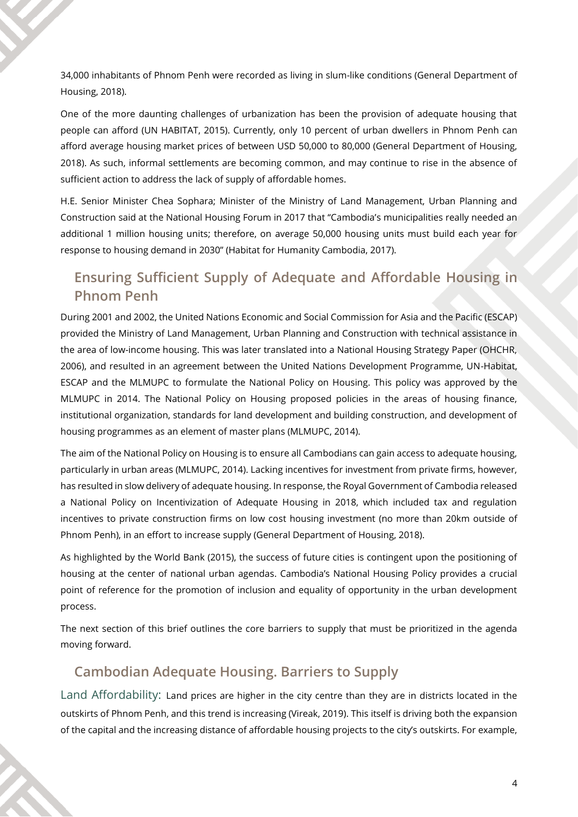34,000 inhabitants of Phnom Penh were recorded as living in slum-like conditions (General Department of Housing, 2018).

One of the more daunting challenges of urbanization has been the provision of adequate housing that people can afford (UN HABITAT, 2015). Currently, only 10 percent of urban dwellers in Phnom Penh can afford average housing market prices of between USD 50,000 to 80,000 (General Department of Housing, 2018). As such, informal settlements are becoming common, and may continue to rise in the absence of sufficient action to address the lack of supply of affordable homes.

H.E. Senior Minister Chea Sophara; Minister of the Ministry of Land Management, Urban Planning and Construction said at the National Housing Forum in 2017 that "Cambodia's municipalities really needed an additional 1 million housing units; therefore, on average 50,000 housing units must build each year for response to housing demand in 2030" (Habitat for Humanity Cambodia, 2017).

# **Ensuring Sufficient Supply of Adequate and Affordable Housing in Phnom Penh**

During 2001 and 2002, the United Nations Economic and Social Commission for Asia and the Pacific (ESCAP) provided the Ministry of Land Management, Urban Planning and Construction with technical assistance in the area of low-income housing. This was later translated into a National Housing Strategy Paper (OHCHR, 2006), and resulted in an agreement between the United Nations Development Programme, UN-Habitat, ESCAP and the MLMUPC to formulate the National Policy on Housing. This policy was approved by the MLMUPC in 2014. The National Policy on Housing proposed policies in the areas of housing finance, institutional organization, standards for land development and building construction, and development of housing programmes as an element of master plans (MLMUPC, 2014).

The aim of the National Policy on Housing is to ensure all Cambodians can gain access to adequate housing, particularly in urban areas (MLMUPC, 2014). Lacking incentives for investment from private firms, however, has resulted in slow delivery of adequate housing. In response, the Royal Government of Cambodia released a National Policy on Incentivization of Adequate Housing in 2018, which included tax and regulation incentives to private construction firms on low cost housing investment (no more than 20km outside of Phnom Penh), in an effort to increase supply (General Department of Housing, 2018).

As highlighted by the World Bank (2015), the success of future cities is contingent upon the positioning of housing at the center of national urban agendas. Cambodia's National Housing Policy provides a crucial point of reference for the promotion of inclusion and equality of opportunity in the urban development process.

The next section of this brief outlines the core barriers to supply that must be prioritized in the agenda moving forward.

## **Cambodian Adequate Housing. Barriers to Supply**

Land Affordability: Land prices are higher in the city centre than they are in districts located in the outskirts of Phnom Penh, and this trend is increasing (Vireak, 2019). This itself is driving both the expansion of the capital and the increasing distance of affordable housing projects to the city's outskirts. For example,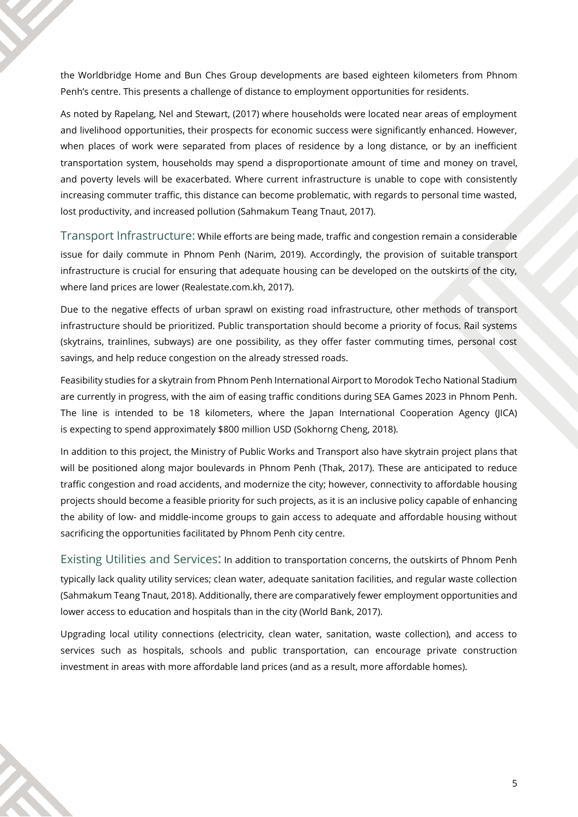the Worldbridge Home and Bun Ches Group developments are based eighteen kilometers from Phnom Penh's centre. This presents a challenge of distance to employment opportunities for residents.

As noted by Rapelang, Nel and Stewart, (2017) where households were located near areas of employment and livelihood opportunities, their prospects for economic success were significantly enhanced. However, when places of work were separated from places of residence by a long distance, or by an inefficient transportation system, households may spend a disproportionate amount of time and money on travel, and poverty levels will be exacerbated. Where current infrastructure is unable to cope with consistently increasing commuter traffic, this distance can become problematic, with regards to personal time wasted, lost productivity, and increased pollution (Sahmakum Teang Tnaut, 2017).

Transport Infrastructure: While efforts are being made, traffic and congestion remain a considerable issue for daily commute in Phnom Penh (Narim, 2019). Accordingly, the provision of suitable transport infrastructure is crucial for ensuring that adequate housing can be developed on the outskirts of the city, where land prices are lower (Realestate.com.kh, 2017).

Due to the negative effects of urban sprawl on existing road infrastructure, other methods of transport infrastructure should be prioritized. Public transportation should become a priority of focus. Rail systems (skytrains, trainlines, subways) are one possibility, as they offer faster commuting times, personal cost savings, and help reduce congestion on the already stressed roads.

Feasibility studies for a skytrain from Phnom Penh International Airport to Morodok Techo National Stadium are currently in progress, with the aim of easing traffic conditions during SEA Games 2023 in Phnom Penh. The line is intended to be 18 kilometers, where the Japan International Cooperation Agency (JICA) is expecting to spend approximately \$800 million USD (Sokhorng Cheng, 2018).

In addition to this project, the Ministry of Public Works and Transport also have skytrain project plans that will be positioned along major boulevards in Phnom Penh (Thak, 2017). These are anticipated to reduce traffic congestion and road accidents, and modernize the city; however, connectivity to affordable housing projects should become a feasible priority for such projects, as it is an inclusive policy capable of enhancing the ability of low- and middle-income groups to gain access to adequate and affordable housing without sacrificing the opportunities facilitated by Phnom Penh city centre.

Existing Utilities and Services**:** In addition to transportation concerns, the outskirts of Phnom Penh typically lack quality utility services; clean water, adequate sanitation facilities, and regular waste collection (Sahmakum Teang Tnaut, 2018). Additionally, there are comparatively fewer employment opportunities and lower access to education and hospitals than in the city (World Bank, 2017).

Upgrading local utility connections (electricity, clean water, sanitation, waste collection), and access to services such as hospitals, schools and public transportation, can encourage private construction investment in areas with more affordable land prices (and as a result, more affordable homes).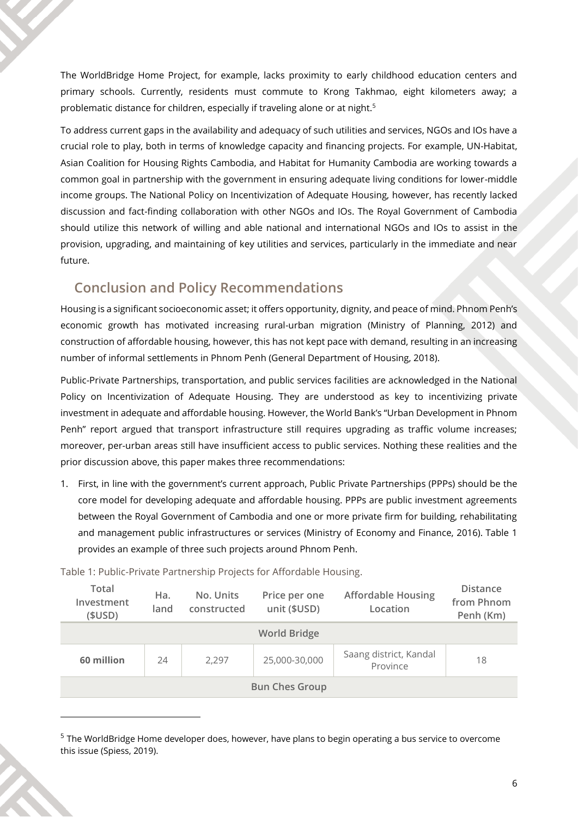The WorldBridge Home Project, for example, lacks proximity to early childhood education centers and primary schools. Currently, residents must commute to Krong Takhmao, eight kilometers away; a problematic distance for children, especially if traveling alone or at night.<sup>5</sup>

To address current gaps in the availability and adequacy of such utilities and services, NGOs and IOs have a crucial role to play, both in terms of knowledge capacity and financing projects. For example, UN-Habitat, Asian Coalition for Housing Rights Cambodia, and Habitat for Humanity Cambodia are working towards a common goal in partnership with the government in ensuring adequate living conditions for lower-middle income groups. The National Policy on Incentivization of Adequate Housing, however, has recently lacked discussion and fact-finding collaboration with other NGOs and IOs. The Royal Government of Cambodia should utilize this network of willing and able national and international NGOs and IOs to assist in the provision, upgrading, and maintaining of key utilities and services, particularly in the immediate and near future.

# **Conclusion and Policy Recommendations**

Housing is a significant socioeconomic asset; it offers opportunity, dignity, and peace of mind. Phnom Penh's economic growth has motivated increasing rural-urban migration (Ministry of Planning, 2012) and construction of affordable housing, however, this has not kept pace with demand, resulting in an increasing number of informal settlements in Phnom Penh (General Department of Housing, 2018).

Public-Private Partnerships, transportation, and public services facilities are acknowledged in the National Policy on Incentivization of Adequate Housing. They are understood as key to incentivizing private investment in adequate and affordable housing. However, the World Bank's "Urban Development in Phnom Penh" report argued that transport infrastructure still requires upgrading as traffic volume increases; moreover, per-urban areas still have insufficient access to public services. Nothing these realities and the prior discussion above, this paper makes three recommendations:

1. First, in line with the government's current approach, Public Private Partnerships (PPPs) should be the core model for developing adequate and affordable housing. PPPs are public investment agreements between the Royal Government of Cambodia and one or more private firm for building, rehabilitating and management public infrastructures or services (Ministry of Economy and Finance, 2016). Table 1 provides an example of three such projects around Phnom Penh.

| Total<br>Investment<br>(SUSD) | Ha.<br>land | No. Units<br>constructed | Price per one<br>unit (\$USD) | <b>Affordable Housing</b><br>Location | <b>Distance</b><br>from Phnom<br>Penh (Km) |  |  |  |  |
|-------------------------------|-------------|--------------------------|-------------------------------|---------------------------------------|--------------------------------------------|--|--|--|--|
| <b>World Bridge</b>           |             |                          |                               |                                       |                                            |  |  |  |  |
| 60 million                    | 24          | 2.297                    | 25,000-30,000                 | Saang district, Kandal<br>Province    | 18                                         |  |  |  |  |
| <b>Bun Ches Group</b>         |             |                          |                               |                                       |                                            |  |  |  |  |

Table 1: Public-Private Partnership Projects for Affordable Housing.

<sup>&</sup>lt;sup>5</sup> The WorldBridge Home developer does, however, have plans to begin operating a bus service to overcome this issue (Spiess, 2019).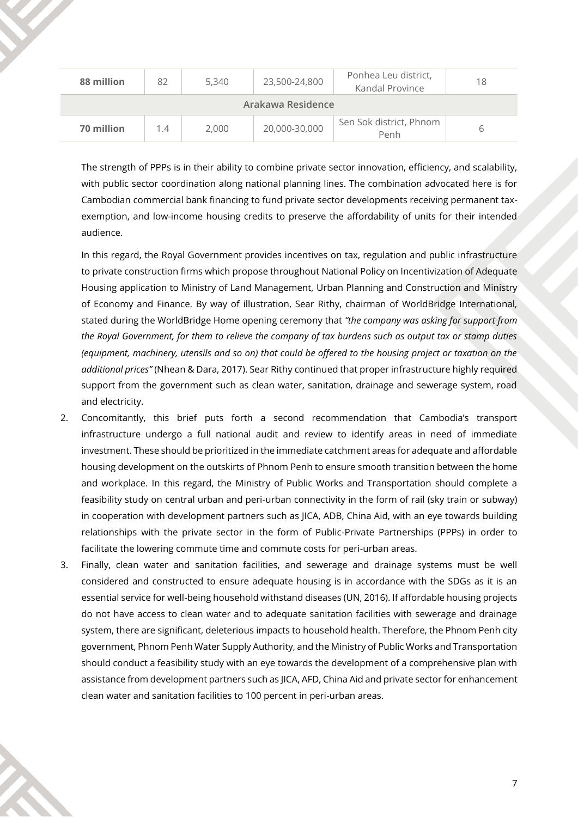| 88 million        | 82  | 5,340 | 23,500-24,800 | Ponhea Leu district,<br>Kandal Province | 18 |  |  |  |
|-------------------|-----|-------|---------------|-----------------------------------------|----|--|--|--|
| Arakawa Residence |     |       |               |                                         |    |  |  |  |
| 70 million        | 1.4 | 2,000 | 20,000-30,000 | Sen Sok district, Phnom<br>Penh         |    |  |  |  |

The strength of PPPs is in their ability to combine private sector innovation, efficiency, and scalability, with public sector coordination along national planning lines. The combination advocated here is for Cambodian commercial bank financing to fund private sector developments receiving permanent taxexemption, and low-income housing credits to preserve the affordability of units for their intended audience.

In this regard, the Royal Government provides incentives on tax, regulation and public infrastructure to private construction firms which propose throughout National Policy on Incentivization of Adequate Housing application to Ministry of Land Management, Urban Planning and Construction and Ministry of Economy and Finance. By way of illustration, Sear Rithy, chairman of WorldBridge International, stated during the WorldBridge Home opening ceremony that *"the company was asking for support from the Royal Government, for them to relieve the company of tax burdens such as output tax or stamp duties (equipment, machinery, utensils and so on) that could be offered to the housing project or taxation on the additional prices"* (Nhean & Dara, 2017). Sear Rithy continued that proper infrastructure highly required support from the government such as clean water, sanitation, drainage and sewerage system, road and electricity.

- 2. Concomitantly, this brief puts forth a second recommendation that Cambodia's transport infrastructure undergo a full national audit and review to identify areas in need of immediate investment. These should be prioritized in the immediate catchment areas for adequate and affordable housing development on the outskirts of Phnom Penh to ensure smooth transition between the home and workplace. In this regard, the Ministry of Public Works and Transportation should complete a feasibility study on central urban and peri-urban connectivity in the form of rail (sky train or subway) in cooperation with development partners such as JICA, ADB, China Aid, with an eye towards building relationships with the private sector in the form of Public-Private Partnerships (PPPs) in order to facilitate the lowering commute time and commute costs for peri-urban areas.
- 3. Finally, clean water and sanitation facilities, and sewerage and drainage systems must be well considered and constructed to ensure adequate housing is in accordance with the SDGs as it is an essential service for well-being household withstand diseases (UN, 2016). If affordable housing projects do not have access to clean water and to adequate sanitation facilities with sewerage and drainage system, there are significant, deleterious impacts to household health. Therefore, the Phnom Penh city government, Phnom Penh Water Supply Authority, and the Ministry of Public Works and Transportation should conduct a feasibility study with an eye towards the development of a comprehensive plan with assistance from development partners such as JICA, AFD, China Aid and private sector for enhancement clean water and sanitation facilities to 100 percent in peri-urban areas.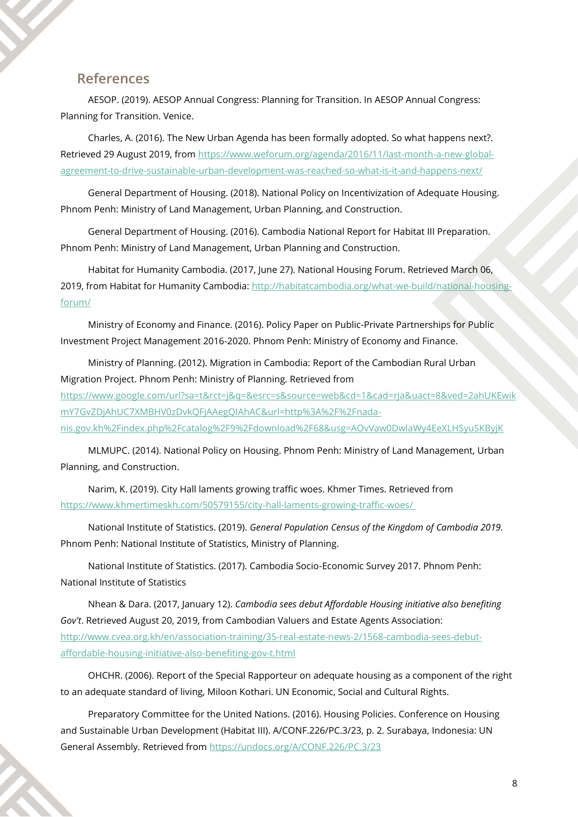#### **References**

AESOP. (2019). AESOP Annual Congress: Planning for Transition. In AESOP Annual Congress: Planning for Transition. Venice.

Charles, A. (2016). The New Urban Agenda has been formally adopted. So what happens next?. Retrieved 29 August 2019, from [https://www.weforum.org/agenda/2016/11/last-month-a-new-global](https://www.weforum.org/agenda/2016/11/last-month-a-new-global-agreement-to-drive-sustainable-urban-development-was-reached-so-what-is-it-and-happens-next/)[agreement-to-drive-sustainable-urban-development-was-reached-so-what-is-it-and-happens-next/](https://www.weforum.org/agenda/2016/11/last-month-a-new-global-agreement-to-drive-sustainable-urban-development-was-reached-so-what-is-it-and-happens-next/)

General Department of Housing. (2018). National Policy on Incentivization of Adequate Housing. Phnom Penh: Ministry of Land Management, Urban Planning, and Construction.

General Department of Housing. (2016). Cambodia National Report for Habitat III Preparation. Phnom Penh: Ministry of Land Management, Urban Planning and Construction.

Habitat for Humanity Cambodia. (2017, June 27). National Housing Forum. Retrieved March 06, 2019, from Habitat for Humanity Cambodia: [http://habitatcambodia.org/what-we-build/national-housing](http://habitatcambodia.org/what-we-build/national-housing-forum/)[forum/](http://habitatcambodia.org/what-we-build/national-housing-forum/)

Ministry of Economy and Finance. (2016). Policy Paper on Public-Private Partnerships for Public Investment Project Management 2016-2020. Phnom Penh: Ministry of Economy and Finance.

Ministry of Planning. (2012). Migration in Cambodia: Report of the Cambodian Rural Urban Migration Project. Phnom Penh: Ministry of Planning. Retrieved from [https://www.google.com/url?sa=t&rct=j&q=&esrc=s&source=web&cd=1&cad=rja&uact=8&ved=2ahUKEwik](http://nada-nis.gov.kh/index.php/catalog/9/download/68) [mY7GvZDjAhUC7XMBHV0zDvkQFjAAegQIAhAC&url=http%3A%2F%2Fnada](http://nada-nis.gov.kh/index.php/catalog/9/download/68)[nis.gov.kh%2Findex.php%2Fcatalog%2F9%2Fdownload%2F68&usg=AOvVaw0DwlaWy4EeXLHSyuSKByjK](http://nada-nis.gov.kh/index.php/catalog/9/download/68)

MLMUPC. (2014). National Policy on Housing. Phnom Penh: Ministry of Land Management, Urban Planning, and Construction.

Narim, K. (2019). City Hall laments growing traffic woes. Khmer Times. Retrieved from <https://www.khmertimeskh.com/50579155/city-hall-laments-growing-traffic-woes/>

National Institute of Statistics. (2019). *General Population Census of the Kingdom of Cambodia 2019.* Phnom Penh: National Institute of Statistics, Ministry of Planning.

National Institute of Statistics. (2017). Cambodia Socio-Economic Survey 2017. Phnom Penh: National Institute of Statistics

Nhean & Dara. (2017, January 12). *Cambodia sees debut Affordable Housing initiative also benefiting Gov't*. Retrieved August 20, 2019, from Cambodian Valuers and Estate Agents Association: [http://www.cvea.org.kh/en/association-training/35-real-estate-news-2/1568-cambodia-sees-debut](http://www.cvea.org.kh/en/association-training/35-real-estate-news-2/1568-cambodia-sees-debut-affordable-housing-initiative-also-benefiting-gov-t.html)[affordable-housing-initiative-also-benefiting-gov-t.html](http://www.cvea.org.kh/en/association-training/35-real-estate-news-2/1568-cambodia-sees-debut-affordable-housing-initiative-also-benefiting-gov-t.html)

OHCHR. (2006). Report of the Special Rapporteur on adequate housing as a component of the right to an adequate standard of living, Miloon Kothari. UN Economic, Social and Cultural Rights.

Preparatory Committee for the United Nations. (2016). Housing Policies. Conference on Housing and Sustainable Urban Development (Habitat III). A/CONF.226/PC.3/23, p. 2. Surabaya, Indonesia: UN General Assembly. Retrieved fro[m https://undocs.org/A/CONF.226/PC.3/23](https://undocs.org/A/CONF.226/PC.3/23)